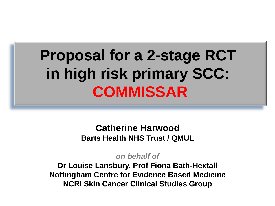# **Proposal for a 2-stage RCT in high risk primary SCC: COMMISSAR**

**Catherine Harwood Barts Health NHS Trust / QMUL**

*on behalf of*

**Dr Louise Lansbury, Prof Fiona Bath-Hextall Nottingham Centre for Evidence Based Medicine NCRI Skin Cancer Clinical Studies Group**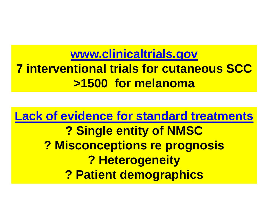**[www.clinicaltrials.gov](http://www.clinicaltrials.gov) 7 interventional trials for cutaneous SCC >1500 for melanoma**

**Lack of evidence for standard treatments ? Single entity of NMSC ? Misconceptions re prognosis ? Heterogeneity ? Patient demographics**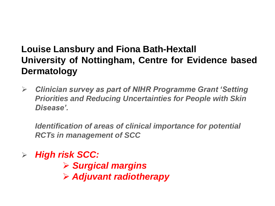# **Louise Lansbury and Fiona Bath-Hextall University of Nottingham, Centre for Evidence based Dermatology**

 *Clinician survey as part of NIHR Programme Grant 'Setting Priorities and Reducing Uncertainties for People with Skin Disease'.*

*Identification of areas of clinical importance for potential RCTs in management of SCC*

*High risk SCC:* 

 *Surgical margins Adjuvant radiotherapy*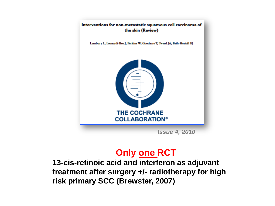

### **Only one RCT**

**13-cis-retinoic acid and interferon as adjuvant treatment after surgery +/- radiotherapy for high risk primary SCC (Brewster, 2007)**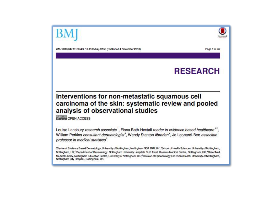

Page 1 of 46

BMJ 2013;347:f6153 doi: 10.1136/bmj.f6153 (Published 4 November 2013)

### **RESEARCH**

#### Interventions for non-metastatic squamous cell carcinoma of the skin: systematic review and pooled analysis of observational studies

**O ON OPEN ACCESS** 

Louise Lansbury research associate<sup>1</sup>, Fiona Bath-Hextall reader in evidence based healthcare<sup>12</sup>, William Perkins consultant dermatologist<sup>3</sup>, Wendy Stanton librarian<sup>4</sup>, Jo Leonardi-Bee associate professor in medical statistics<sup>5</sup>

'Centre of Evidence Based Dermatology, University of Nottingham, Nottingham NG7 2NR, UK; <sup>2</sup>School of Health Sciences, University of Nottingham, Nottingham, UK; <sup>2</sup>Department of Dermatology, Nottingham University Hospitals NHS Trust, Queen's Medical Centre, Nottingham, UK; <sup>4</sup>Greenfield Medical Library, Nottingham Education Centre, University of Nottingham, UK; <sup>5</sup>Division of Epidemiology and Public Health, University of Nottingham, Nottingham City Hospital, Nottingham, UK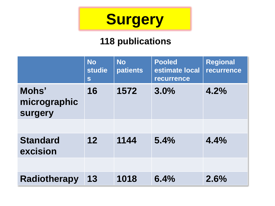

# **118 publications**

|                                  | <b>No</b><br>studie<br>S | <b>No</b><br><b>patients</b> | <b>Pooled</b><br>estimate local<br><b>recurrence</b> | <b>Regional</b><br>recurrence |
|----------------------------------|--------------------------|------------------------------|------------------------------------------------------|-------------------------------|
| Mohs'<br>micrographic<br>surgery | 16                       | 1572                         | 3.0%                                                 | 4.2%                          |
|                                  |                          |                              |                                                      |                               |
| <b>Standard</b><br>excision      | 12                       | 1144                         | 5.4%                                                 | 4.4%                          |
|                                  |                          |                              |                                                      |                               |
| <b>Radiotherapy</b>              | 13                       | 1018                         | 6.4%                                                 | 2.6%                          |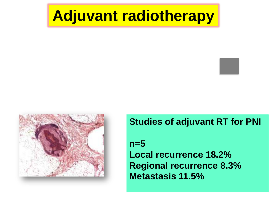# **Adjuvant radiotherapy**



**Studies of adjuvant RT for PNI** 

**n=5 Local recurrence 18.2% Regional recurrence 8.3% Metastasis 11.5%**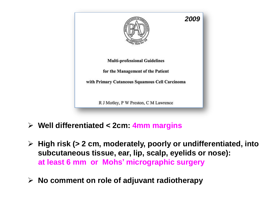

- **Well differentiated < 2cm: 4mm margins**
- **High risk (> 2 cm, moderately, poorly or undifferentiated, into subcutaneous tissue, ear, lip, scalp, eyelids or nose): at least 6 mm or Mohs' micrographic surgery**
- **No comment on role of adjuvant radiotherapy**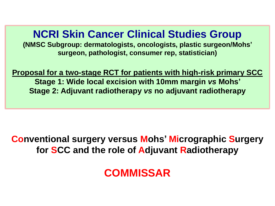# **NCRI Skin Cancer Clinical Studies Group**

**(NMSC Subgroup: dermatologists, oncologists, plastic surgeon/Mohs' surgeon, pathologist, consumer rep, statistician)**

**Proposal for a two-stage RCT for patients with high-risk primary SCC Stage 1: Wide local excision with 10mm margin** *vs* **Mohs' Stage 2: Adjuvant radiotherapy** *vs* **no adjuvant radiotherapy** 

### **Conventional surgery versus Mohs' Micrographic Surgery for SCC and the role of Adjuvant Radiotherapy**

**COMMISSAR**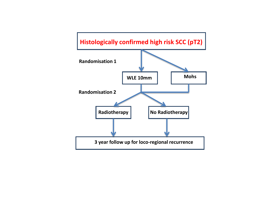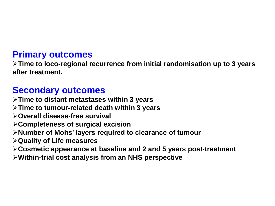### **Primary outcomes**

**Time to loco-regional recurrence from initial randomisation up to 3 years after treatment.** 

### **Secondary outcomes**

**Time to distant metastases within 3 years**

- **Time to tumour-related death within 3 years**
- **Overall disease-free survival**
- **Completeness of surgical excision**
- **Number of Mohs' layers required to clearance of tumour**
- **Quality of Life measures**
- **Cosmetic appearance at baseline and 2 and 5 years post-treatment**
- **Within-trial cost analysis from an NHS perspective**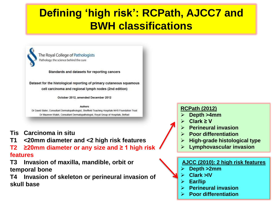# **Defining 'high risk': RCPath, AJCC7 and BWH classifications**

The Royal College of Pathologists Pathology: the science behind the cure

Standards and datasets for reporting cancers

Dataset for the histological reporting of primary cutaneous squamous cell carcinoma and regional lymph nodes (2nd edition)

October 2012, amended December 2012

Authors Dr David Slater, Consultant Dermatopathologist, Sheffield Teaching Hospitals NHS Foundation Trust Dr Maureen Walsh, Consultant Dermatopathologist, Royal Group of Hospitals, Belfast

- **Tis Carcinoma in situ**
- **T1 <20mm diameter and <2 high risk features**
- **T2 ≥20mm diameter or any size and ≥ 1 high risk features**
- **T3 Invasion of maxilla, mandible, orbit or temporal bone**
- **T4 Invasion of skeleton or perineural invasion of skull base**

#### **RCPath (2012)**

- **Depth >4mm**
- **Clark ≥ V**
- **Perineural invasion**
- **Poor differentiation**
- **High-grade histological type**
- **Lymphovascular invasion**

#### **AJCC (2010): 2 high risk features**

- **Depth >2mm**
- **Clark >IV**
- **Ear/lip**
- **Perineural invasion**
- **Poor differentiation**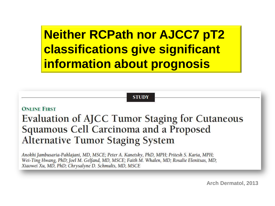**Neither RCPath nor AJCC7 pT2 classifications give significant information about prognosis**

**STUDY** 

**ONLINE FIRST** 

**Evaluation of AJCC Tumor Staging for Cutaneous** Squamous Cell Carcinoma and a Proposed **Alternative Tumor Staging System** 

Anokhi Jambusaria-Pahlajani, MD, MSCE; Peter A. Kanetsky, PhD, MPH; Pritesh S. Karia, MPH; Wei-Ting Hwang, PhD; Joel M. Gelfand, MD, MSCE; Faith M. Whalen, MD; Rosalie Elenitsas, MD; Xiaowei Xu, MD, PhD; Chrysalyne D. Schmults, MD, MSCE

**Arch Dermatol, 2013**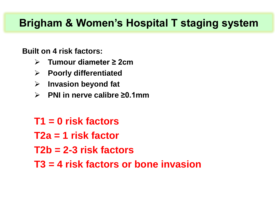# **Brigham & Women's Hospital T staging system**

### **Built on 4 risk factors:**

- **Tumour diameter ≥ 2cm**
- **Poorly differentiated**
- **Invasion beyond fat**
- **PNI in nerve calibre ≥0.1mm**
- **T1 = 0 risk factors**
- **T2a = 1 risk factor**
- **T2b = 2-3 risk factors**
- **T3 = 4 risk factors or bone invasion**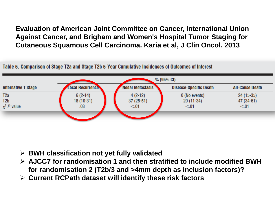**Evaluation of American Joint Committee on Cancer, International Union Against Cancer, and Brigham and Women's Hospital Tumor Staging for Cutaneous Squamous Cell Carcinoma. Karia et al, J Clin Oncol. 2013**

Table 5. Comparison of Stage T2a and Stage T2b 5-Year Cumulative Incidences of Outcomes of Interest



- **BWH classification not yet fully validated**
- **AJCC7 for randomisation 1 and then stratified to include modified BWH for randomisation 2 (T2b/3 and >4mm depth as inclusion factors)?**
- **Current RCPath dataset will identify these risk factors**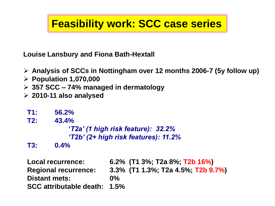# **Feasibility work: SCC case series**

**Louise Lansbury and Fiona Bath-Hextall**

- **Analysis of SCCs in Nottingham over 12 months 2006-7 (5y follow up)**
- **Population 1,070,000**
- **357 SCC – 74% managed in dermatology**
- **2010-11 also analysed**

**T1: 56.2% T2: 43.4% '***T2a' (1 high risk feature): 32.2% 'T2b' (2+ high risk features): 11.2%*

**T3: 0.4%**

**Local recurrence: 6.2% (T1 3%; T2a 8%; T2b 16%) Regional recurrence: 3.3% (T1 1.3%; T2a 4.5%; T2b 9.7%) Distant mets: 0% SCC attributable death: 1.5%**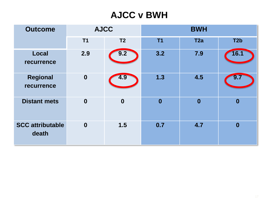## **AJCC v BWH**

| <b>Outcome</b>                   | <b>AJCC</b>      |                  | <b>BWH</b>     |                  |                  |  |
|----------------------------------|------------------|------------------|----------------|------------------|------------------|--|
|                                  | T <sub>1</sub>   | T <sub>2</sub>   | T <sub>1</sub> | T <sub>2a</sub>  | T <sub>2</sub> b |  |
| <b>Local</b><br>recurrence       | 2.9              | 9.2              | 3.2            | 7.9              | 16.1             |  |
| <b>Regional</b><br>recurrence    | $\boldsymbol{0}$ | 4.9              | 1.3            | 4.5              | 9.7              |  |
| <b>Distant mets</b>              | $\boldsymbol{0}$ | $\boldsymbol{0}$ | $\bf{0}$       | $\boldsymbol{0}$ | $\boldsymbol{0}$ |  |
| <b>SCC attributable</b><br>death | $\boldsymbol{0}$ | 1.5              | 0.7            | 4.7              | $\boldsymbol{0}$ |  |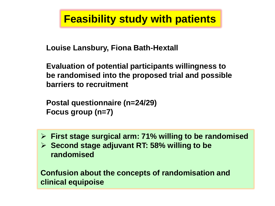# **Feasibility study with patients**

**Louise Lansbury, Fiona Bath-Hextall**

**Evaluation of potential participants willingness to be randomised into the proposed trial and possible barriers to recruitment**

**Postal questionnaire (n=24/29) Focus group (n=7)**

- **First stage surgical arm: 71% willing to be randomised**
- **Second stage adjuvant RT: 58% willing to be randomised**

**Confusion about the concepts of randomisation and clinical equipoise**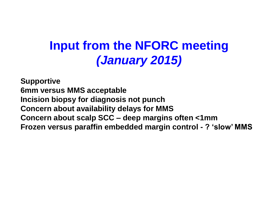# **Input from the NFORC meeting** *(January 2015)*

**Supportive 6mm versus MMS acceptable Incision biopsy for diagnosis not punch Concern about availability delays for MMS Concern about scalp SCC – deep margins often <1mm Frozen versus paraffin embedded margin control - ? 'slow' MMS**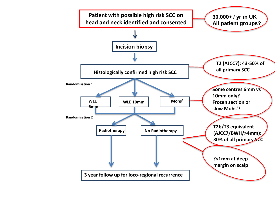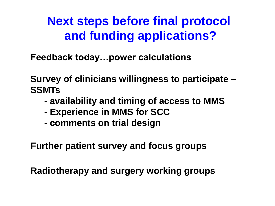**Next steps before final protocol and funding applications?**

**Feedback today…power calculations**

**Survey of clinicians willingness to participate – SSMTs**

- **- availability and timing of access to MMS**
- **- Experience in MMS for SCC**
- **- comments on trial design**

**Further patient survey and focus groups**

**Radiotherapy and surgery working groups**